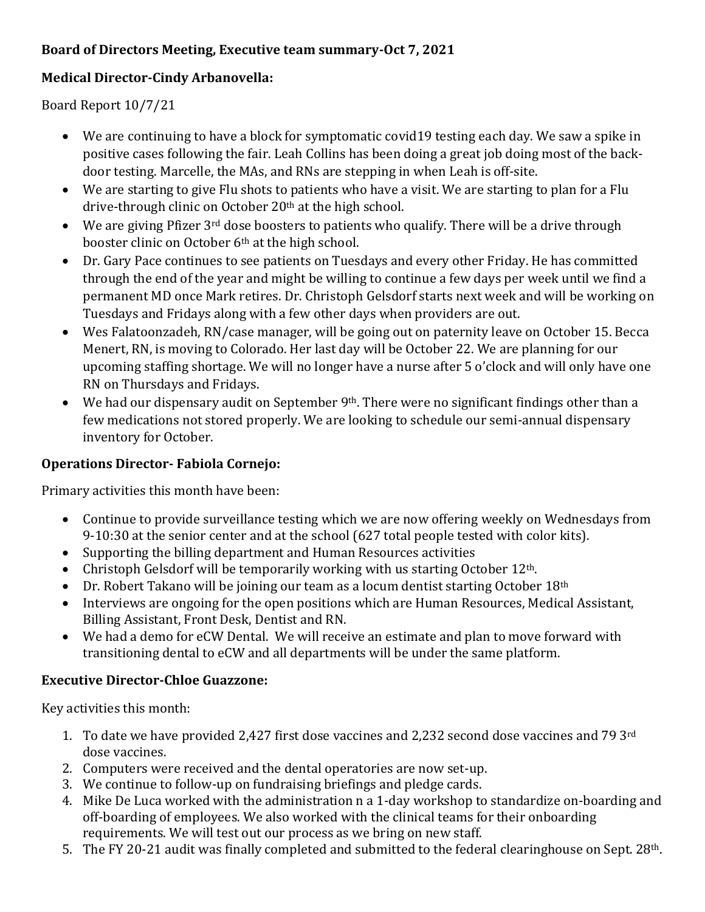## **Board of Directors Meeting, Executive team summary-Oct 7, 2021**

## **Medical Director-Cindy Arbanovella:**

Board Report 10/7/21

- We are continuing to have a block for symptomatic covid19 testing each day. We saw a spike in positive cases following the fair. Leah Collins has been doing a great job doing most of the backdoor testing. Marcelle, the MAs, and RNs are stepping in when Leah is off-site.
- We are starting to give Flu shots to patients who have a visit. We are starting to plan for a Flu drive-through clinic on October 20<sup>th</sup> at the high school.
- $\bullet$  We are giving Pfizer 3<sup>rd</sup> dose boosters to patients who qualify. There will be a drive through booster clinic on October 6th at the high school.
- Dr. Gary Pace continues to see patients on Tuesdays and every other Friday. He has committed through the end of the year and might be willing to continue a few days per week until we find a permanent MD once Mark retires. Dr. Christoph Gelsdorf starts next week and will be working on Tuesdays and Fridays along with a few other days when providers are out.
- Wes Falatoonzadeh, RN/case manager, will be going out on paternity leave on October 15. Becca Menert, RN, is moving to Colorado. Her last day will be October 22. We are planning for our upcoming staffing shortage. We will no longer have a nurse after 5 o'clock and will only have one RN on Thursdays and Fridays.
- $\bullet$  We had our dispensary audit on September 9<sup>th</sup>. There were no significant findings other than a few medications not stored properly. We are looking to schedule our semi-annual dispensary inventory for October.

## **Operations Director- Fabiola Cornejo:**

Primary activities this month have been:

- Continue to provide surveillance testing which we are now offering weekly on Wednesdays from 9-10:30 at the senior center and at the school (627 total people tested with color kits).
- Supporting the billing department and Human Resources activities
- Christoph Gelsdorf will be temporarily working with us starting October  $12<sup>th</sup>$ .
- $\bullet$  Dr. Robert Takano will be joining our team as a locum dentist starting October 18<sup>th</sup>
- Interviews are ongoing for the open positions which are Human Resources, Medical Assistant, Billing Assistant, Front Desk, Dentist and RN.
- We had a demo for eCW Dental. We will receive an estimate and plan to move forward with transitioning dental to eCW and all departments will be under the same platform.

## **Executive Director-Chloe Guazzone:**

Key activities this month:

- 1. To date we have provided 2,427 first dose vaccines and 2,232 second dose vaccines and 79 3rd dose vaccines.
- 2. Computers were received and the dental operatories are now set-up.
- 3. We continue to follow-up on fundraising briefings and pledge cards.
- 4. Mike De Luca worked with the administration n a 1-day workshop to standardize on-boarding and off-boarding of employees. We also worked with the clinical teams for their onboarding requirements. We will test out our process as we bring on new staff.
- 5. The FY 20-21 audit was finally completed and submitted to the federal clearinghouse on Sept. 28th.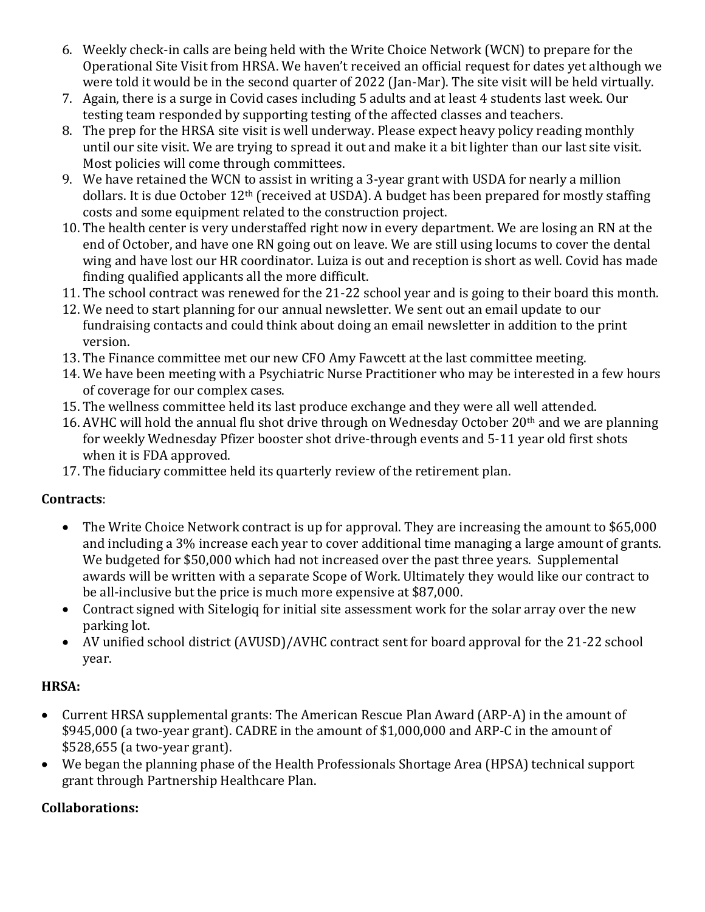- 6. Weekly check-in calls are being held with the Write Choice Network (WCN) to prepare for the Operational Site Visit from HRSA. We haven't received an official request for dates yet although we were told it would be in the second quarter of 2022 (Jan-Mar). The site visit will be held virtually.
- 7. Again, there is a surge in Covid cases including 5 adults and at least 4 students last week. Our testing team responded by supporting testing of the affected classes and teachers.
- 8. The prep for the HRSA site visit is well underway. Please expect heavy policy reading monthly until our site visit. We are trying to spread it out and make it a bit lighter than our last site visit. Most policies will come through committees.
- 9. We have retained the WCN to assist in writing a 3-year grant with USDA for nearly a million dollars. It is due October 12<sup>th</sup> (received at USDA). A budget has been prepared for mostly staffing costs and some equipment related to the construction project.
- 10. The health center is very understaffed right now in every department. We are losing an RN at the end of October, and have one RN going out on leave. We are still using locums to cover the dental wing and have lost our HR coordinator. Luiza is out and reception is short as well. Covid has made finding qualified applicants all the more difficult.
- 11. The school contract was renewed for the 21-22 school year and is going to their board this month.
- 12. We need to start planning for our annual newsletter. We sent out an email update to our fundraising contacts and could think about doing an email newsletter in addition to the print version.
- 13. The Finance committee met our new CFO Amy Fawcett at the last committee meeting.
- 14. We have been meeting with a Psychiatric Nurse Practitioner who may be interested in a few hours of coverage for our complex cases.
- 15. The wellness committee held its last produce exchange and they were all well attended.
- 16. AVHC will hold the annual flu shot drive through on Wednesday October 20<sup>th</sup> and we are planning for weekly Wednesday Pfizer booster shot drive-through events and 5-11 year old first shots when it is FDA approved.
- 17. The fiduciary committee held its quarterly review of the retirement plan.

## **Contracts**:

- The Write Choice Network contract is up for approval. They are increasing the amount to \$65,000 and including a 3% increase each year to cover additional time managing a large amount of grants. We budgeted for \$50,000 which had not increased over the past three years. Supplemental awards will be written with a separate Scope of Work. Ultimately they would like our contract to be all-inclusive but the price is much more expensive at \$87,000.
- Contract signed with Sitelogiq for initial site assessment work for the solar array over the new parking lot.
- AV unified school district (AVUSD)/AVHC contract sent for board approval for the 21-22 school year.

## **HRSA:**

- Current HRSA supplemental grants: The American Rescue Plan Award (ARP-A) in the amount of \$945,000 (a two-year grant). CADRE in the amount of \$1,000,000 and ARP-C in the amount of \$528,655 (a two-year grant).
- We began the planning phase of the Health Professionals Shortage Area (HPSA) technical support grant through Partnership Healthcare Plan.

## **Collaborations:**